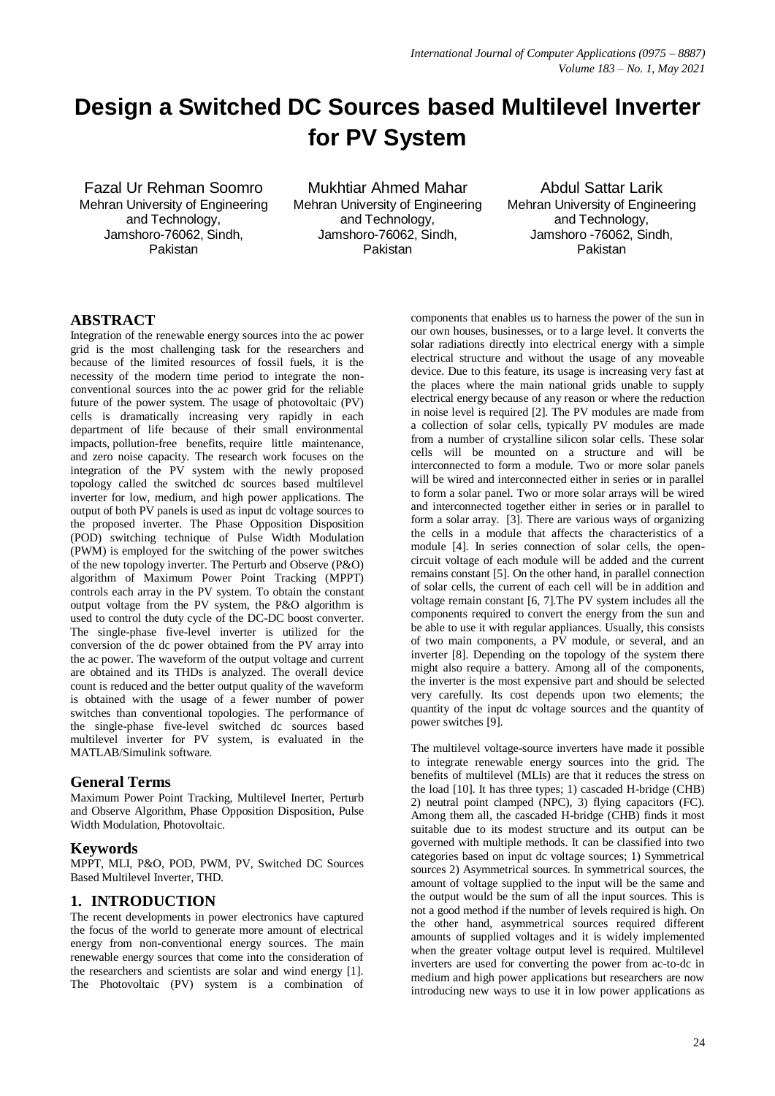# **Design a Switched DC Sources based Multilevel Inverter for PV System**

Fazal Ur Rehman Soomro Mehran University of Engineering and Technology, Jamshoro-76062, Sindh, Pakistan

Mukhtiar Ahmed Mahar Mehran University of Engineering and Technology, Jamshoro-76062, Sindh, Pakistan

Abdul Sattar Larik Mehran University of Engineering and Technology, Jamshoro -76062, Sindh, Pakistan

# **ABSTRACT**

Integration of the renewable energy sources into the ac power grid is the most challenging task for the researchers and because of the limited resources of fossil fuels, it is the necessity of the modern time period to integrate the nonconventional sources into the ac power grid for the reliable future of the power system. The usage of photovoltaic (PV) cells is dramatically increasing very rapidly in each department of life because of their small environmental impacts, pollution-free benefits, require little maintenance, and zero noise capacity. The research work focuses on the integration of the PV system with the newly proposed topology called the switched dc sources based multilevel inverter for low, medium, and high power applications. The output of both PV panels is used as input dc voltage sources to the proposed inverter. The Phase Opposition Disposition (POD) switching technique of Pulse Width Modulation (PWM) is employed for the switching of the power switches of the new topology inverter. The Perturb and Observe (P&O) algorithm of Maximum Power Point Tracking (MPPT) controls each array in the PV system. To obtain the constant output voltage from the PV system, the P&O algorithm is used to control the duty cycle of the DC-DC boost converter. The single-phase five-level inverter is utilized for the conversion of the dc power obtained from the PV array into the ac power. The waveform of the output voltage and current are obtained and its THDs is analyzed. The overall device count is reduced and the better output quality of the waveform is obtained with the usage of a fewer number of power switches than conventional topologies. The performance of the single-phase five-level switched dc sources based multilevel inverter for PV system, is evaluated in the MATLAB/Simulink software.

## **General Terms**

Maximum Power Point Tracking, Multilevel Inerter, Perturb and Observe Algorithm, Phase Opposition Disposition, Pulse Width Modulation, Photovoltaic.

## **Keywords**

MPPT, MLI, P&O, POD, PWM, PV, Switched DC Sources Based Multilevel Inverter, THD.

# **1. INTRODUCTION**

The recent developments in power electronics have captured the focus of the world to generate more amount of electrical energy from non-conventional energy sources. The main renewable energy sources that come into the consideration of the researchers and scientists are solar and wind energy [1]. The Photovoltaic (PV) system is a combination of components that enables us to harness the power of the sun in our own houses, businesses, or to a large level. It converts the solar radiations directly into electrical energy with a simple electrical structure and without the usage of any moveable device. Due to this feature, its usage is increasing very fast at the places where the main national grids unable to supply electrical energy because of any reason or where the reduction in noise level is required [2]. The PV modules are made from a collection of solar cells, typically PV modules are made from a number of crystalline silicon solar cells. These solar cells will be mounted on a structure and will be interconnected to form a module. Two or more solar panels will be wired and interconnected either in series or in parallel to form a solar panel. Two or more solar arrays will be wired and interconnected together either in series or in parallel to form a solar array. [3]. There are various ways of organizing the cells in a module that affects the characteristics of a module [4]. In series connection of solar cells, the opencircuit voltage of each module will be added and the current remains constant [5]. On the other hand, in parallel connection of solar cells, the current of each cell will be in addition and voltage remain constant [6, 7].The PV system includes all the components required to convert the energy from the sun and be able to use it with regular appliances. Usually, this consists of two main components, a PV module, or several, and an inverter [8]. Depending on the topology of the system there might also require a battery. Among all of the components, the inverter is the most expensive part and should be selected very carefully. Its cost depends upon two elements; the quantity of the input dc voltage sources and the quantity of power switches [9].

The multilevel voltage-source inverters have made it possible to integrate renewable energy sources into the grid. The benefits of multilevel (MLIs) are that it reduces the stress on the load [10]. It has three types; 1) cascaded H-bridge (CHB) 2) neutral point clamped (NPC), 3) flying capacitors (FC). Among them all, the cascaded H-bridge (CHB) finds it most suitable due to its modest structure and its output can be governed with multiple methods. It can be classified into two categories based on input dc voltage sources; 1) Symmetrical sources 2) Asymmetrical sources. In symmetrical sources, the amount of voltage supplied to the input will be the same and the output would be the sum of all the input sources. This is not a good method if the number of levels required is high. On the other hand, asymmetrical sources required different amounts of supplied voltages and it is widely implemented when the greater voltage output level is required. Multilevel inverters are used for converting the power from ac-to-dc in medium and high power applications but researchers are now introducing new ways to use it in low power applications as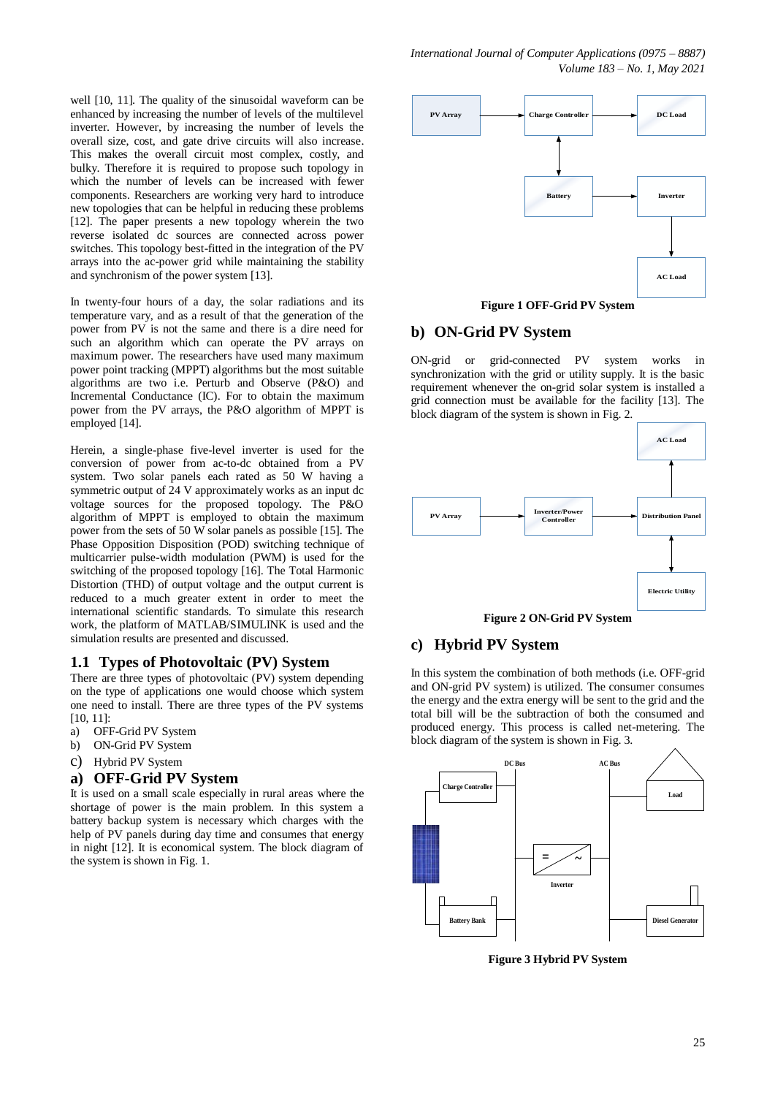well [10, 11]. The quality of the sinusoidal waveform can be enhanced by increasing the number of levels of the multilevel inverter. However, by increasing the number of levels the overall size, cost, and gate drive circuits will also increase. This makes the overall circuit most complex, costly, and bulky. Therefore it is required to propose such topology in which the number of levels can be increased with fewer components. Researchers are working very hard to introduce new topologies that can be helpful in reducing these problems [12]. The paper presents a new topology wherein the two reverse isolated dc sources are connected across power switches. This topology best-fitted in the integration of the PV arrays into the ac-power grid while maintaining the stability and synchronism of the power system [13].

In twenty-four hours of a day, the solar radiations and its temperature vary, and as a result of that the generation of the power from PV is not the same and there is a dire need for such an algorithm which can operate the PV arrays on maximum power. The researchers have used many maximum power point tracking (MPPT) algorithms but the most suitable algorithms are two i.e. Perturb and Observe (P&O) and Incremental Conductance (IC). For to obtain the maximum power from the PV arrays, the P&O algorithm of MPPT is employed [14].

Herein, a single-phase five-level inverter is used for the conversion of power from ac-to-dc obtained from a PV system. Two solar panels each rated as 50 W having a symmetric output of 24 V approximately works as an input dc voltage sources for the proposed topology. The P&O algorithm of MPPT is employed to obtain the maximum power from the sets of 50 W solar panels as possible [15]. The Phase Opposition Disposition (POD) switching technique of multicarrier pulse-width modulation (PWM) is used for the switching of the proposed topology [16]. The Total Harmonic Distortion (THD) of output voltage and the output current is reduced to a much greater extent in order to meet the international scientific standards. To simulate this research work, the platform of MATLAB/SIMULINK is used and the simulation results are presented and discussed.

#### **1.1 Types of Photovoltaic (PV) System**

There are three types of photovoltaic (PV) system depending on the type of applications one would choose which system one need to install. There are three types of the PV systems [10, 11]:

- a) OFF-Grid PV System
- b) ON-Grid PV System
- c) Hybrid PV System

#### **a) OFF-Grid PV System**

It is used on a small scale especially in rural areas where the shortage of power is the main problem. In this system a battery backup system is necessary which charges with the help of PV panels during day time and consumes that energy in night [12]. It is economical system. The block diagram of the system is shown in Fig. 1.



**Figure 1 OFF-Grid PV System**

## **b) ON-Grid PV System**

ON-grid or grid-connected PV system works in synchronization with the grid or utility supply. It is the basic requirement whenever the on-grid solar system is installed a grid connection must be available for the facility [13]. The block diagram of the system is shown in Fig. 2.



**Figure 2 ON-Grid PV System**

#### **c) Hybrid PV System**

In this system the combination of both methods (i.e. OFF-grid and ON-grid PV system) is utilized. The consumer consumes the energy and the extra energy will be sent to the grid and the total bill will be the subtraction of both the consumed and produced energy. This process is called net-metering. The block diagram of the system is shown in Fig. 3.



**Figure 3 Hybrid PV System**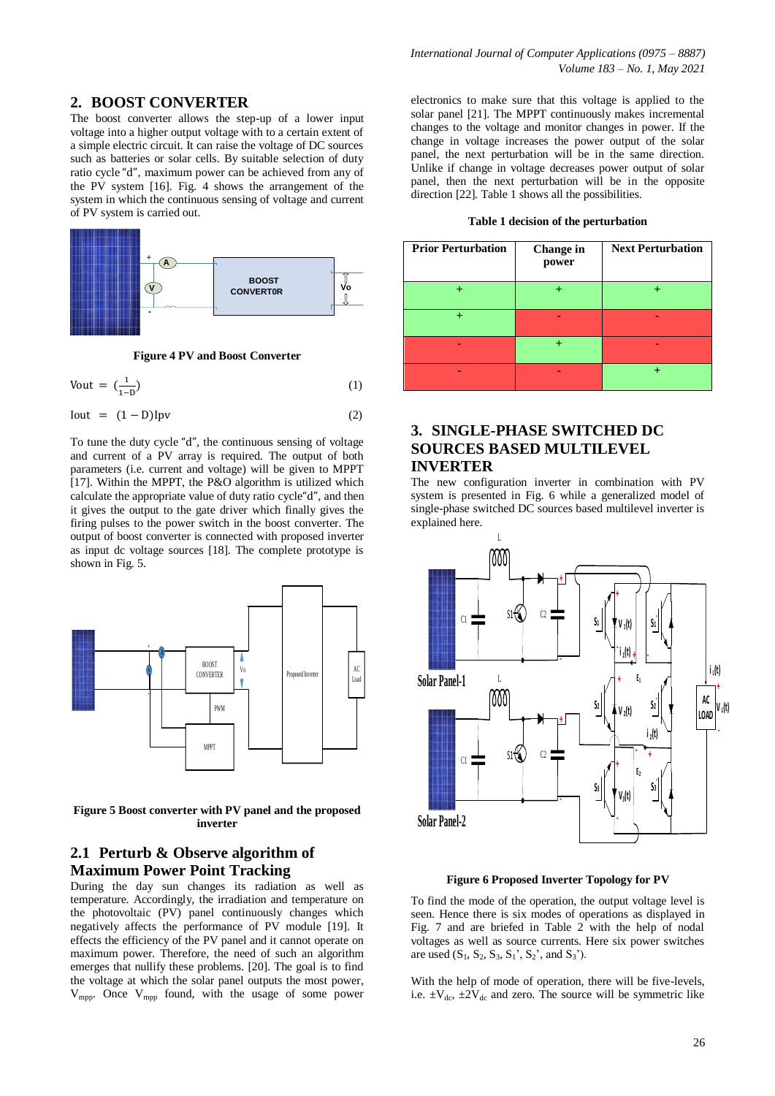## **2. BOOST CONVERTER**

The boost converter allows the step-up of a lower input voltage into a higher output voltage with to a certain extent of a simple electric circuit. It can raise the voltage of DC sources such as batteries or solar cells. By suitable selection of duty ratio cycle "d", maximum power can be achieved from any of the PV system [16]. Fig. 4 shows the arrangement of the system in which the continuous sensing of voltage and current of PV system is carried out.



**Figure 4 PV and Boost Converter**

$$
Vout = \left(\frac{1}{1 - D}\right) \tag{1}
$$

 $\text{Iout} = (1 - \text{D})\text{Ipv}$  (2)

To tune the duty cycle "d", the continuous sensing of voltage and current of a PV array is required. The output of both parameters (i.e. current and voltage) will be given to MPPT [17]. Within the MPPT, the P&O algorithm is utilized which calculate the appropriate value of duty ratio cycle "d", and then it gives the output to the gate driver which finally gives the firing pulses to the power switch in the boost converter. The output of boost converter is connected with proposed inverter as input dc voltage sources [18]. The complete prototype is shown in Fig. 5.



**Figure 5 Boost converter with PV panel and the proposed inverter**

## **2.1 Perturb & Observe algorithm of Maximum Power Point Tracking**

During the day sun changes its radiation as well as temperature. Accordingly, the irradiation and temperature on the photovoltaic (PV) panel continuously changes which negatively affects the performance of PV module [19]. It effects the efficiency of the PV panel and it cannot operate on maximum power. Therefore, the need of such an algorithm emerges that nullify these problems. [20]. The goal is to find the voltage at which the solar panel outputs the most power,  $V_{\text{mpo}}$ . Once  $V_{\text{mpo}}$  found, with the usage of some power

electronics to make sure that this voltage is applied to the solar panel [21]. The MPPT continuously makes incremental changes to the voltage and monitor changes in power. If the change in voltage increases the power output of the solar panel, the next perturbation will be in the same direction. Unlike if change in voltage decreases power output of solar panel, then the next perturbation will be in the opposite direction [22]. Table 1 shows all the possibilities.

**Table 1 decision of the perturbation**

| <b>Prior Perturbation</b> | <b>Change</b> in<br>power | <b>Next Perturbation</b> |
|---------------------------|---------------------------|--------------------------|
|                           |                           |                          |
|                           |                           |                          |
|                           |                           |                          |
|                           |                           |                          |

## **3. SINGLE-PHASE SWITCHED DC SOURCES BASED MULTILEVEL INVERTER**

The new configuration inverter in combination with PV system is presented in Fig. 6 while a generalized model of single-phase switched DC sources based multilevel inverter is explained here.



**Figure 6 Proposed Inverter Topology for PV**

To find the mode of the operation, the output voltage level is seen. Hence there is six modes of operations as displayed in Fig. 7 and are briefed in Table 2 with the help of nodal voltages as well as source currents. Here six power switches are used  $(S_1, S_2, S_3, S_1, S_2, and S_3)$ .

With the help of mode of operation, there will be five-levels, i.e.  $\pm V_{\text{dc}}$ ,  $\pm 2V_{\text{dc}}$  and zero. The source will be symmetric like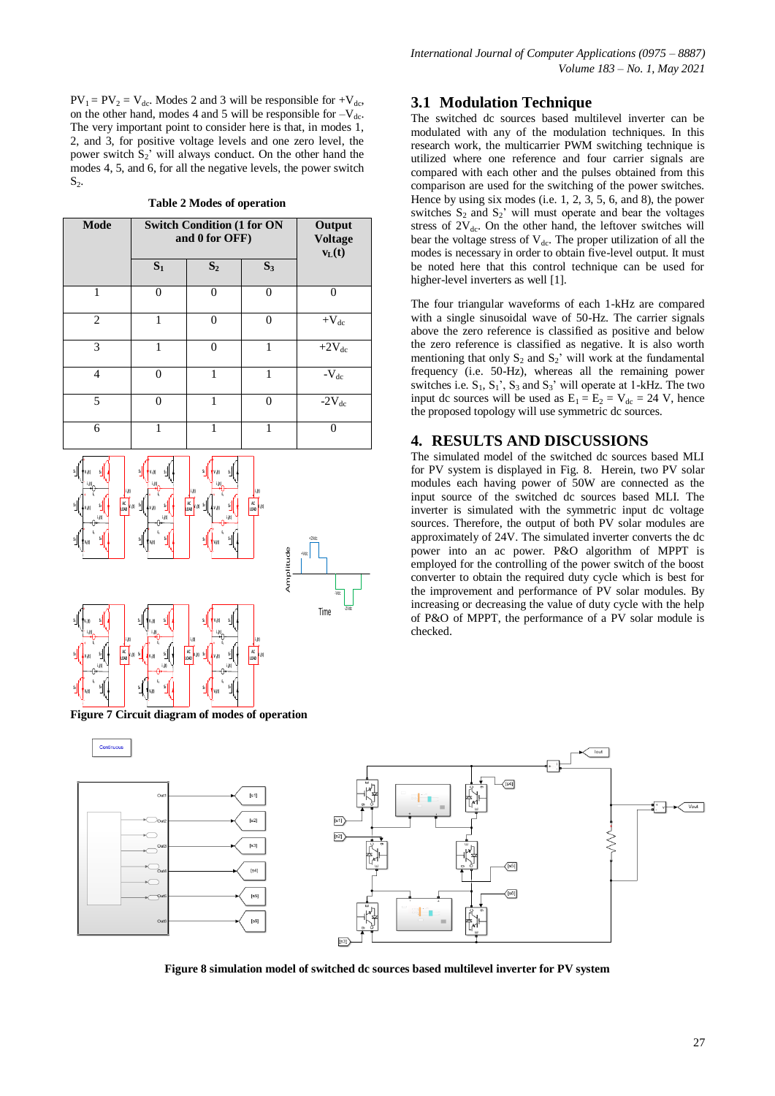$PV_1 = PV_2 = V_{dc}$ . Modes 2 and 3 will be responsible for  $+V_{dc}$ , on the other hand, modes 4 and 5 will be responsible for  $-V_{dc}$ . The very important point to consider here is that, in modes 1, 2, and 3, for positive voltage levels and one zero level, the power switch  $S_2$ ' will always conduct. On the other hand the modes 4, 5, and 6, for all the negative levels, the power switch  $S_2$ .

**Table 2 Modes of operation**

| <b>Mode</b>    | <b>Switch Condition (1 for ON</b><br>and 0 for OFF) |                |          | Output<br><b>Voltage</b><br>$v_L(t)$ |
|----------------|-----------------------------------------------------|----------------|----------|--------------------------------------|
|                | $S_1$                                               | S <sub>2</sub> | $S_3$    |                                      |
| 1              | $\Omega$                                            | $\Omega$       | $\Omega$ | 0                                    |
| $\overline{2}$ |                                                     | 0              | 0        | $+V_{dc}$                            |
| 3              | 1                                                   | $\theta$       | 1        | $+2V_{dc}$                           |
| 4              | $\Omega$                                            | 1              | 1        | $-V_{dc}$                            |
| 5              | $\Omega$                                            | 1              | $\Omega$ | $-2V_{dc}$                           |
| 6              |                                                     | 1              |          |                                      |



**Figure 7 Circuit diagram of modes of operation**

## **3.1 Modulation Technique**

The switched dc sources based multilevel inverter can be modulated with any of the modulation techniques. In this research work, the multicarrier PWM switching technique is utilized where one reference and four carrier signals are compared with each other and the pulses obtained from this comparison are used for the switching of the power switches. Hence by using six modes (i.e. 1, 2, 3, 5, 6, and 8), the power switches  $S_2$  and  $S_2$ ' will must operate and bear the voltages stress of  $2V_{dc}$ . On the other hand, the leftover switches will bear the voltage stress of  $V_{dc}$ . The proper utilization of all the modes is necessary in order to obtain five-level output. It must be noted here that this control technique can be used for higher-level inverters as well [1].

The four triangular waveforms of each 1-kHz are compared with a single sinusoidal wave of 50-Hz. The carrier signals above the zero reference is classified as positive and below the zero reference is classified as negative. It is also worth mentioning that only  $S_2$  and  $S_2$ ' will work at the fundamental frequency (i.e. 50-Hz), whereas all the remaining power switches i.e.  $S_1$ ,  $S_1$ ',  $S_3$  and  $S_3$ ' will operate at 1-kHz. The two input dc sources will be used as  $E_1 = E_2 = V_{dc} = 24$  V, hence the proposed topology will use symmetric dc sources.

#### **4. RESULTS AND DISCUSSIONS**

The simulated model of the switched dc sources based MLI for PV system is displayed in Fig. 8. Herein, two PV solar modules each having power of 50W are connected as the input source of the switched dc sources based MLI. The inverter is simulated with the symmetric input dc voltage sources. Therefore, the output of both PV solar modules are approximately of 24V. The simulated inverter converts the dc power into an ac power. P&O algorithm of MPPT is employed for the controlling of the power switch of the boost converter to obtain the required duty cycle which is best for the improvement and performance of PV solar modules. By increasing or decreasing the value of duty cycle with the help of P&O of MPPT, the performance of a PV solar module is checked.



**Figure 8 simulation model of switched dc sources based multilevel inverter for PV system**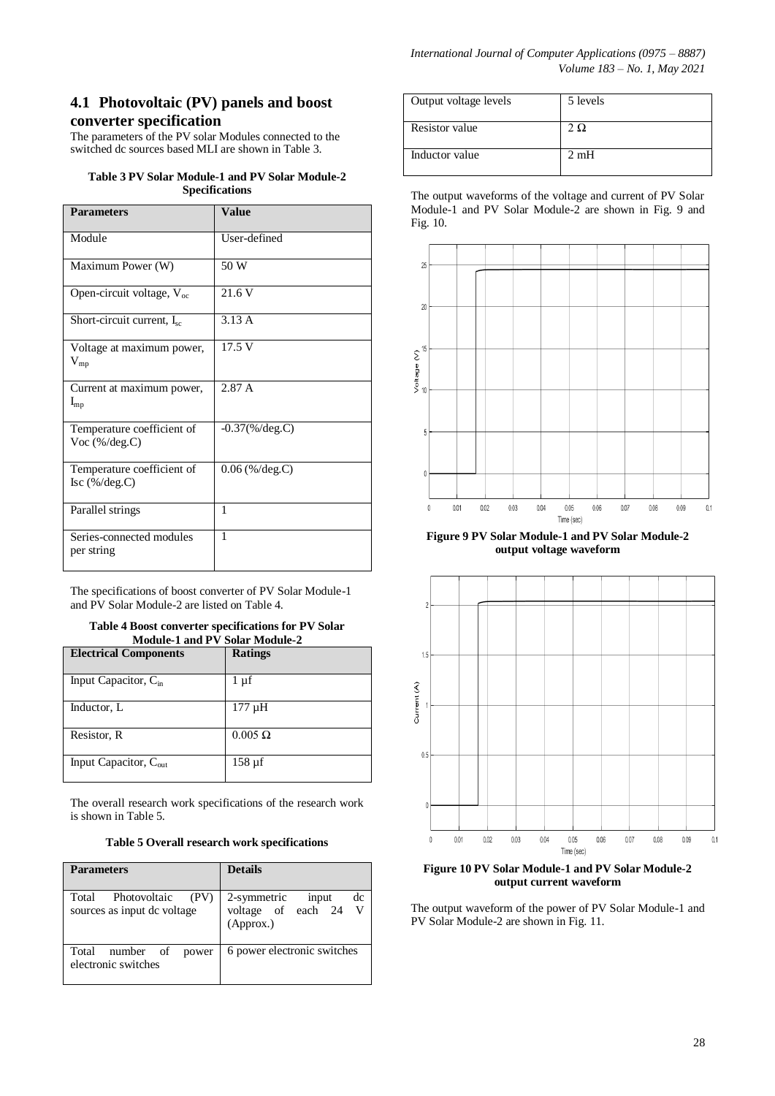# **4.1 Photovoltaic (PV) panels and boost converter specification**

The parameters of the PV solar Modules connected to the switched dc sources based MLI are shown in Table 3.

**Table 3 PV Solar Module-1 and PV Solar Module-2 Specifications**

| <b>Parameters</b>                              | <b>Value</b>      |
|------------------------------------------------|-------------------|
| Module                                         | User-defined      |
| Maximum Power (W)                              | 50 W              |
| Open-circuit voltage, $V_{oc}$                 | 21.6 V            |
| Short-circuit current, $I_{\rm sc}$            | 3.13A             |
| Voltage at maximum power,<br>$V_{mp}$          | 17.5 V            |
| Current at maximum power,<br>$I_{mp}$          | 2.87 A            |
| Temperature coefficient of<br>Voc $(\%/deg.C)$ | $-0.37$ (%/deg.C) |
| Temperature coefficient of<br>Isc (%/deg.C)    | $0.06$ (%/deg.C)  |
| Parallel strings                               | 1                 |
| Series-connected modules<br>per string         | 1                 |

The specifications of boost converter of PV Solar Module-1 and PV Solar Module-2 are listed on Table 4.

#### **Table 4 Boost converter specifications for PV Solar Module-1 and PV Solar Module-2**

| <b>Electrical Components</b>      | <b>Ratings</b> |
|-----------------------------------|----------------|
| Input Capacitor, C <sub>in</sub>  | $1 \mu f$      |
| Inductor, L                       | $177 \mu H$    |
| Resistor, R                       | $0.005 \Omega$ |
| Input Capacitor, $C_{\text{out}}$ | $158 \mu f$    |

The overall research work specifications of the research work is shown in Table 5.

## **Table 5 Overall research work specifications**

| <b>Parameters</b>                                            | <b>Details</b>                                                |
|--------------------------------------------------------------|---------------------------------------------------------------|
| Photovoltaic<br>(PV)<br>Total<br>sources as input de voltage | dc<br>2-symmetric<br>input<br>voltage of each 24<br>(Approx.) |
| number of power<br>Total<br>electronic switches              | 6 power electronic switches                                   |

| Output voltage levels | 5 levels |
|-----------------------|----------|
| <b>Resistor</b> value | ⊃ Ω -    |
| Inductor value        | 2mH      |

The output waveforms of the voltage and current of PV Solar Module-1 and PV Solar Module-2 are shown in Fig. 9 and Fig. 10.



**Figure 9 PV Solar Module-1 and PV Solar Module-2 output voltage waveform**



**Figure 10 PV Solar Module-1 and PV Solar Module-2 output current waveform**

The output waveform of the power of PV Solar Module-1 and PV Solar Module-2 are shown in Fig. 11.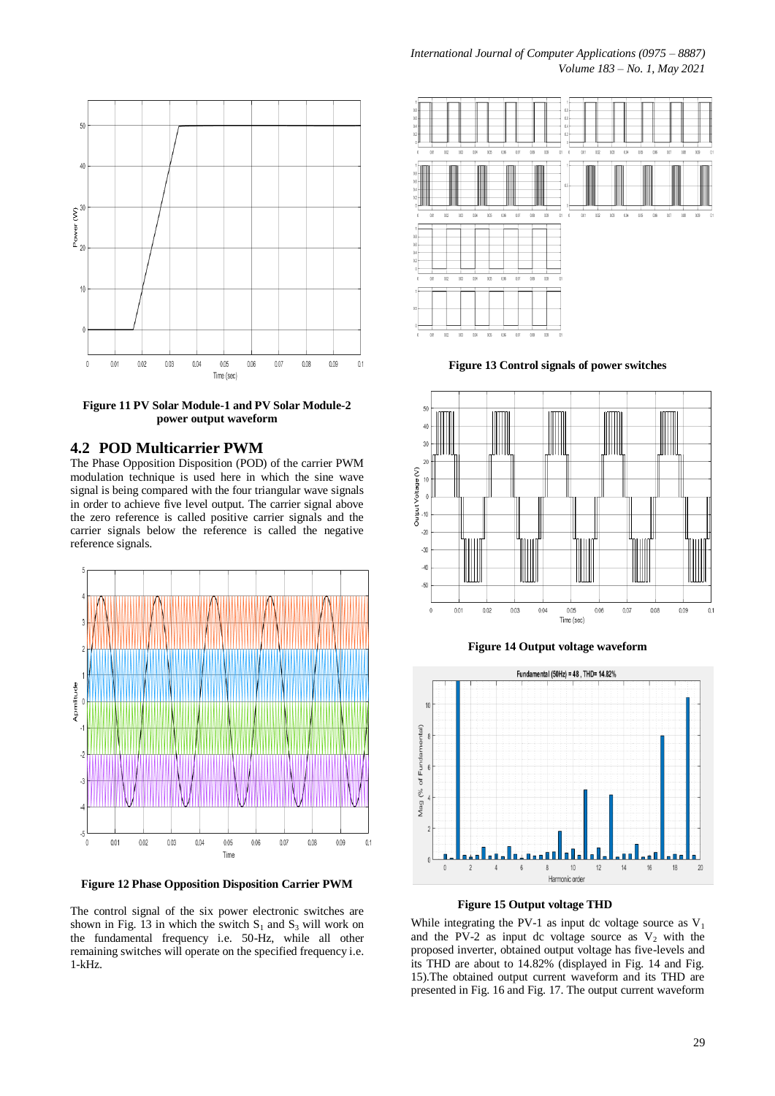

**Figure 11 PV Solar Module-1 and PV Solar Module-2 power output waveform**

## **4.2 POD Multicarrier PWM**

The Phase Opposition Disposition (POD) of the carrier PWM modulation technique is used here in which the sine wave signal is being compared with the four triangular wave signals in order to achieve five level output. The carrier signal above the zero reference is called positive carrier signals and the carrier signals below the reference is called the negative reference signals.



**Figure 12 Phase Opposition Disposition Carrier PWM**

The control signal of the six power electronic switches are shown in Fig. 13 in which the switch  $S_1$  and  $S_3$  will work on the fundamental frequency i.e. 50-Hz, while all other remaining switches will operate on the specified frequency i.e. 1-kHz.



**Figure 13 Control signals of power switches**









While integrating the PV-1 as input dc voltage source as  $V_1$ and the PV-2 as input dc voltage source as  $V_2$  with the proposed inverter, obtained output voltage has five-levels and its THD are about to 14.82% (displayed in Fig. 14 and Fig. 15).The obtained output current waveform and its THD are presented in Fig. 16 and Fig. 17. The output current waveform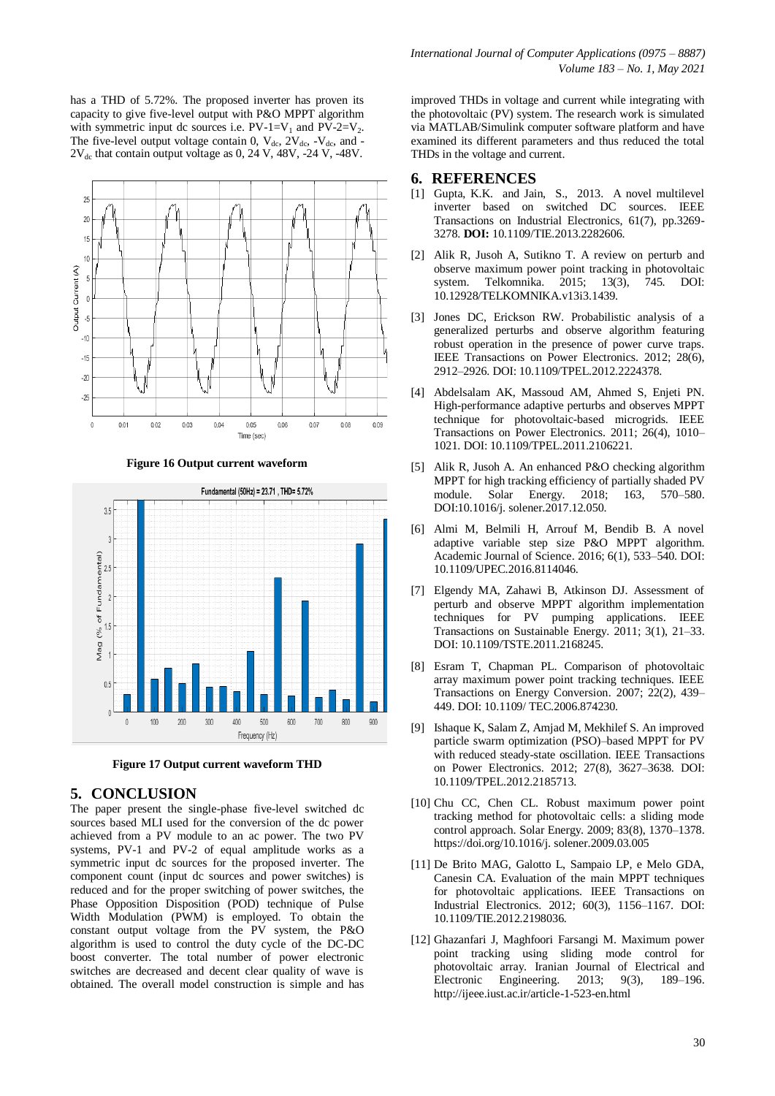has a THD of 5.72%. The proposed inverter has proven its capacity to give five-level output with P&O MPPT algorithm with symmetric input dc sources i.e.  $PV-I=V_1$  and  $PV-2=V_2$ . The five-level output voltage contain 0,  $V_{dc}$ ,  $2V_{dc}$ ,  $-V_{dc}$ , and - $2V_{dc}$  that contain output voltage as 0, 24 V, 48V,  $-24$  V,  $-48V$ .



**Figure 16 Output current waveform**



**Figure 17 Output current waveform THD**

#### **5. CONCLUSION**

The paper present the single-phase five-level switched dc sources based MLI used for the conversion of the dc power achieved from a PV module to an ac power. The two PV systems, PV-1 and PV-2 of equal amplitude works as a symmetric input dc sources for the proposed inverter. The component count (input dc sources and power switches) is reduced and for the proper switching of power switches, the Phase Opposition Disposition (POD) technique of Pulse Width Modulation (PWM) is employed. To obtain the constant output voltage from the  $PV$  system, the  $P&O$ algorithm is used to control the duty cycle of the DC-DC boost converter. The total number of power electronic switches are decreased and decent clear quality of wave is obtained. The overall model construction is simple and has improved THDs in voltage and current while integrating with the photovoltaic (PV) system. The research work is simulated via MATLAB/Simulink computer software platform and have examined its different parameters and thus reduced the total THDs in the voltage and current.

#### **6. REFERENCES**

- [1] Gupta, K.K. and Jain, S., 2013. A novel multilevel inverter based on switched DC sources. IEEE Transactions on Industrial Electronics, 61(7), pp.3269- 3278. **DOI:** 10.1109/TIE.2013.2282606.
- [2] Alik R, Jusoh A, Sutikno T. A review on perturb and observe maximum power point tracking in photovoltaic system. Telkomnika. 2015; 13(3), 745. DOI: 10.12928/TELKOMNIKA.v13i3.1439.
- [3] Jones DC, Erickson RW. Probabilistic analysis of a generalized perturbs and observe algorithm featuring robust operation in the presence of power curve traps. IEEE Transactions on Power Electronics. 2012; 28(6), 2912–2926. DOI: 10.1109/TPEL.2012.2224378.
- [4] Abdelsalam AK, Massoud AM, Ahmed S, Enjeti PN. High-performance adaptive perturbs and observes MPPT technique for photovoltaic-based microgrids. IEEE Transactions on Power Electronics. 2011; 26(4), 1010– 1021. DOI: 10.1109/TPEL.2011.2106221.
- [5] Alik R, Jusoh A. An enhanced P&O checking algorithm MPPT for high tracking efficiency of partially shaded PV module. Solar Energy. 2018; 163, 570–580. module. Solar Energy. 2018; DOI:10.1016/j. solener.2017.12.050.
- [6] Almi M, Belmili H, Arrouf M, Bendib B. A novel adaptive variable step size P&O MPPT algorithm. Academic Journal of Science. 2016; 6(1), 533–540. DOI: 10.1109/UPEC.2016.8114046.
- [7] Elgendy MA, Zahawi B, Atkinson DJ. Assessment of perturb and observe MPPT algorithm implementation techniques for PV pumping applications. IEEE Transactions on Sustainable Energy. 2011; 3(1), 21–33. DOI: 10.1109/TSTE.2011.2168245.
- [8] Esram T, Chapman PL. Comparison of photovoltaic array maximum power point tracking techniques. IEEE Transactions on Energy Conversion. 2007; 22(2), 439– 449. DOI: 10.1109/ TEC.2006.874230.
- [9] Ishaque K, Salam Z, Amjad M, Mekhilef S. An improved particle swarm optimization (PSO)–based MPPT for PV with reduced steady-state oscillation. IEEE Transactions on Power Electronics. 2012; 27(8), 3627–3638. DOI: 10.1109/TPEL.2012.2185713.
- [10] Chu CC, Chen CL. Robust maximum power point tracking method for photovoltaic cells: a sliding mode control approach. Solar Energy. 2009; 83(8), 1370–1378. [https://doi.org/10.1016/j. solener.2009.03.005](https://doi.org/10.1016/j.solener.2009.03.005)
- [11] De Brito MAG, Galotto L, Sampaio LP, e Melo GDA, Canesin CA. Evaluation of the main MPPT techniques for photovoltaic applications. IEEE Transactions on Industrial Electronics. 2012; 60(3), 1156–1167. DOI: 10.1109/TIE.2012.2198036.
- [12] Ghazanfari J, Maghfoori Farsangi M. Maximum power point tracking using sliding mode control for photovoltaic array. Iranian Journal of Electrical and Electronic Engineering. 2013; 9(3), 189–196. <http://ijeee.iust.ac.ir/article-1-523-en.html>